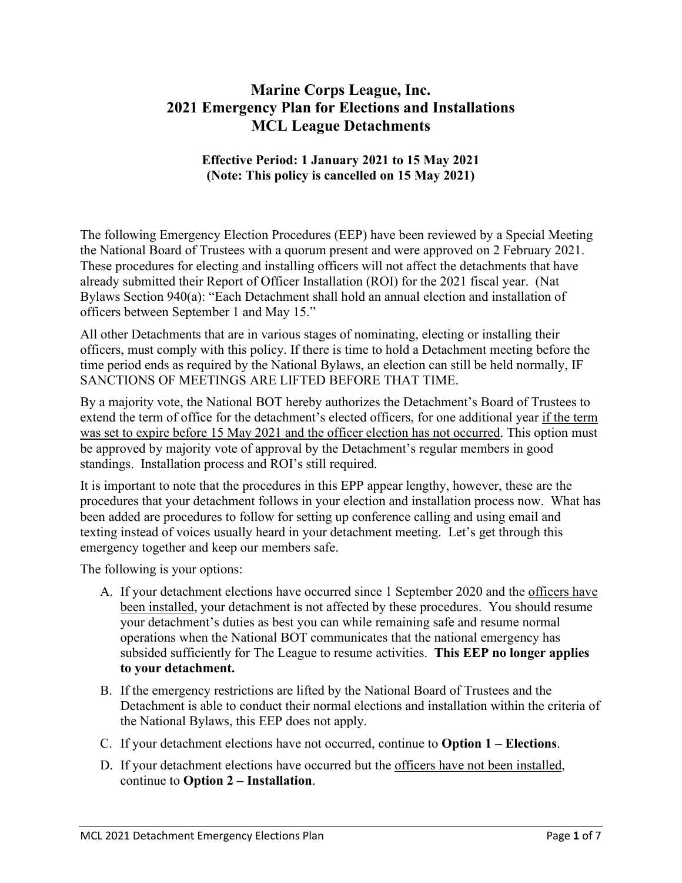### **Marine Corps League, Inc. 2021 Emergency Plan for Elections and Installations MCL League Detachments**

#### **Effective Period: 1 January 2021 to 15 May 2021 (Note: This policy is cancelled on 15 May 2021)**

The following Emergency Election Procedures (EEP) have been reviewed by a Special Meeting the National Board of Trustees with a quorum present and were approved on 2 February 2021. These procedures for electing and installing officers will not affect the detachments that have already submitted their Report of Officer Installation (ROI) for the 2021 fiscal year. (Nat Bylaws Section 940(a): "Each Detachment shall hold an annual election and installation of officers between September 1 and May 15."

All other Detachments that are in various stages of nominating, electing or installing their officers, must comply with this policy. If there is time to hold a Detachment meeting before the time period ends as required by the National Bylaws, an election can still be held normally, IF SANCTIONS OF MEETINGS ARE LIFTED BEFORE THAT TIME.

By a majority vote, the National BOT hereby authorizes the Detachment's Board of Trustees to extend the term of office for the detachment's elected officers, for one additional year if the term was set to expire before 15 May 2021 and the officer election has not occurred. This option must be approved by majority vote of approval by the Detachment's regular members in good standings. Installation process and ROI's still required.

It is important to note that the procedures in this EPP appear lengthy, however, these are the procedures that your detachment follows in your election and installation process now. What has been added are procedures to follow for setting up conference calling and using email and texting instead of voices usually heard in your detachment meeting. Let's get through this emergency together and keep our members safe.

The following is your options:

- A. If your detachment elections have occurred since 1 September 2020 and the officers have been installed, your detachment is not affected by these procedures. You should resume your detachment's duties as best you can while remaining safe and resume normal operations when the National BOT communicates that the national emergency has subsided sufficiently for The League to resume activities. **This EEP no longer applies to your detachment.**
- B. If the emergency restrictions are lifted by the National Board of Trustees and the Detachment is able to conduct their normal elections and installation within the criteria of the National Bylaws, this EEP does not apply.
- C. If your detachment elections have not occurred, continue to **Option 1 – Elections**.
- D. If your detachment elections have occurred but the officers have not been installed, continue to **Option 2 – Installation**.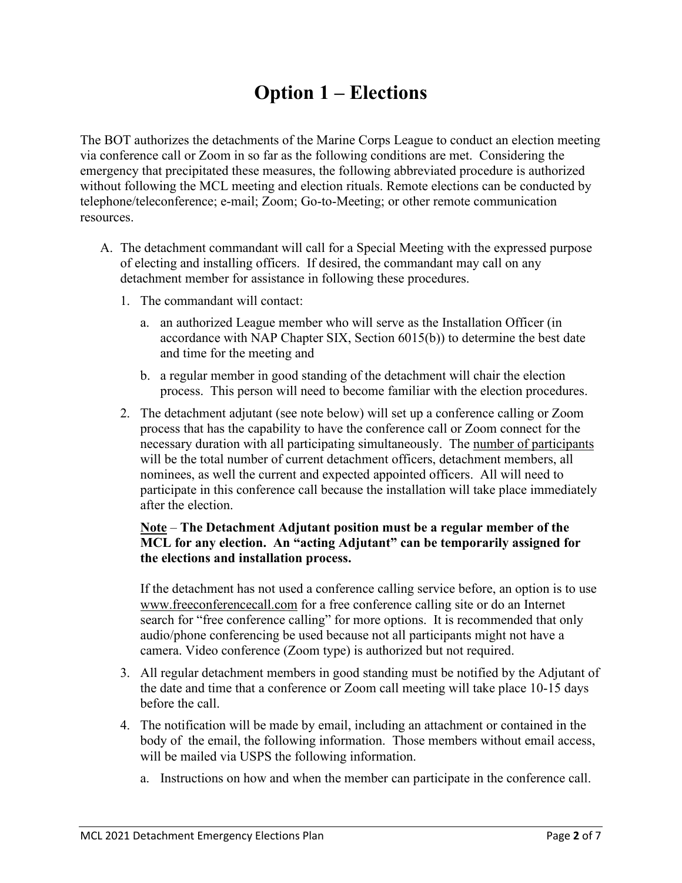## **Option 1 – Elections**

The BOT authorizes the detachments of the Marine Corps League to conduct an election meeting via conference call or Zoom in so far as the following conditions are met. Considering the emergency that precipitated these measures, the following abbreviated procedure is authorized without following the MCL meeting and election rituals. Remote elections can be conducted by telephone/teleconference; e-mail; Zoom; Go-to-Meeting; or other remote communication resources.

- A. The detachment commandant will call for a Special Meeting with the expressed purpose of electing and installing officers. If desired, the commandant may call on any detachment member for assistance in following these procedures.
	- 1. The commandant will contact:
		- a. an authorized League member who will serve as the Installation Officer (in accordance with NAP Chapter SIX, Section 6015(b)) to determine the best date and time for the meeting and
		- b. a regular member in good standing of the detachment will chair the election process. This person will need to become familiar with the election procedures.
	- 2. The detachment adjutant (see note below) will set up a conference calling or Zoom process that has the capability to have the conference call or Zoom connect for the necessary duration with all participating simultaneously. The number of participants will be the total number of current detachment officers, detachment members, all nominees, as well the current and expected appointed officers. All will need to participate in this conference call because the installation will take place immediately after the election.

#### **Note** – **The Detachment Adjutant position must be a regular member of the MCL for any election. An "acting Adjutant" can be temporarily assigned for the elections and installation process.**

If the detachment has not used a conference calling service before, an option is to use [www.freeconferencecall.com](http://www.freeconferencecall.com/) for a free conference calling site or do an Internet search for "free conference calling" for more options. It is recommended that only audio/phone conferencing be used because not all participants might not have a camera. Video conference (Zoom type) is authorized but not required.

- 3. All regular detachment members in good standing must be notified by the Adjutant of the date and time that a conference or Zoom call meeting will take place 10-15 days before the call.
- 4. The notification will be made by email, including an attachment or contained in the body of the email, the following information. Those members without email access, will be mailed via USPS the following information.
	- a. Instructions on how and when the member can participate in the conference call.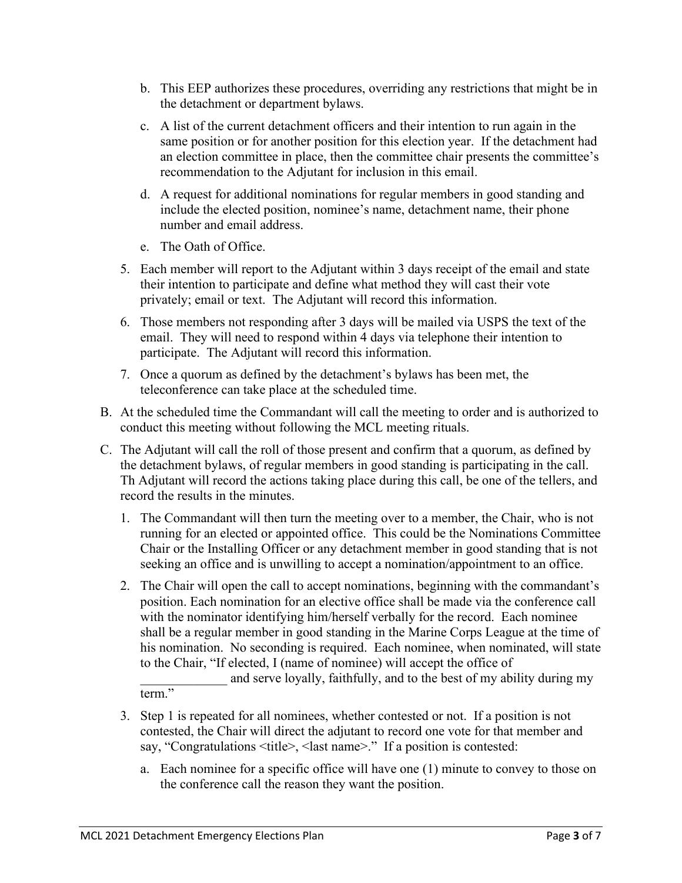- b. This EEP authorizes these procedures, overriding any restrictions that might be in the detachment or department bylaws.
- c. A list of the current detachment officers and their intention to run again in the same position or for another position for this election year. If the detachment had an election committee in place, then the committee chair presents the committee's recommendation to the Adjutant for inclusion in this email.
- d. A request for additional nominations for regular members in good standing and include the elected position, nominee's name, detachment name, their phone number and email address.
- e. The Oath of Office.
- 5. Each member will report to the Adjutant within 3 days receipt of the email and state their intention to participate and define what method they will cast their vote privately; email or text. The Adjutant will record this information.
- 6. Those members not responding after 3 days will be mailed via USPS the text of the email. They will need to respond within 4 days via telephone their intention to participate. The Adjutant will record this information.
- 7. Once a quorum as defined by the detachment's bylaws has been met, the teleconference can take place at the scheduled time.
- B. At the scheduled time the Commandant will call the meeting to order and is authorized to conduct this meeting without following the MCL meeting rituals.
- C. The Adjutant will call the roll of those present and confirm that a quorum, as defined by the detachment bylaws, of regular members in good standing is participating in the call. Th Adjutant will record the actions taking place during this call, be one of the tellers, and record the results in the minutes.
	- 1. The Commandant will then turn the meeting over to a member, the Chair, who is not running for an elected or appointed office. This could be the Nominations Committee Chair or the Installing Officer or any detachment member in good standing that is not seeking an office and is unwilling to accept a nomination/appointment to an office.
	- 2. The Chair will open the call to accept nominations, beginning with the commandant's position. Each nomination for an elective office shall be made via the conference call with the nominator identifying him/herself verbally for the record. Each nominee shall be a regular member in good standing in the Marine Corps League at the time of his nomination. No seconding is required. Each nominee, when nominated, will state to the Chair, "If elected, I (name of nominee) will accept the office of

and serve loyally, faithfully, and to the best of my ability during my term."

- 3. Step 1 is repeated for all nominees, whether contested or not. If a position is not contested, the Chair will direct the adjutant to record one vote for that member and say, "Congratulations <title>, <last name>." If a position is contested:
	- a. Each nominee for a specific office will have one (1) minute to convey to those on the conference call the reason they want the position.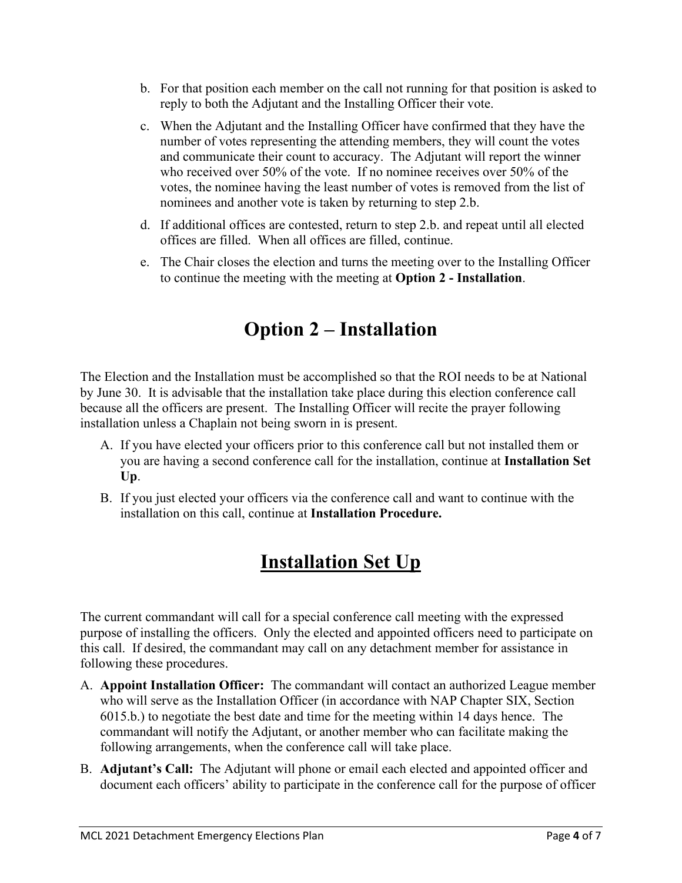- b. For that position each member on the call not running for that position is asked to reply to both the Adjutant and the Installing Officer their vote.
- c. When the Adjutant and the Installing Officer have confirmed that they have the number of votes representing the attending members, they will count the votes and communicate their count to accuracy. The Adjutant will report the winner who received over 50% of the vote. If no nominee receives over 50% of the votes, the nominee having the least number of votes is removed from the list of nominees and another vote is taken by returning to step 2.b.
- d. If additional offices are contested, return to step 2.b. and repeat until all elected offices are filled. When all offices are filled, continue.
- e. The Chair closes the election and turns the meeting over to the Installing Officer to continue the meeting with the meeting at **Option 2 - Installation**.

# **Option 2 – Installation**

The Election and the Installation must be accomplished so that the ROI needs to be at National by June 30. It is advisable that the installation take place during this election conference call because all the officers are present. The Installing Officer will recite the prayer following installation unless a Chaplain not being sworn in is present.

- A. If you have elected your officers prior to this conference call but not installed them or you are having a second conference call for the installation, continue at **Installation Set Up**.
- B. If you just elected your officers via the conference call and want to continue with the installation on this call, continue at **Installation Procedure.**

## **Installation Set Up**

The current commandant will call for a special conference call meeting with the expressed purpose of installing the officers. Only the elected and appointed officers need to participate on this call. If desired, the commandant may call on any detachment member for assistance in following these procedures.

- A. **Appoint Installation Officer:** The commandant will contact an authorized League member who will serve as the Installation Officer (in accordance with NAP Chapter SIX, Section 6015.b.) to negotiate the best date and time for the meeting within 14 days hence. The commandant will notify the Adjutant, or another member who can facilitate making the following arrangements, when the conference call will take place.
- B. **Adjutant's Call:** The Adjutant will phone or email each elected and appointed officer and document each officers' ability to participate in the conference call for the purpose of officer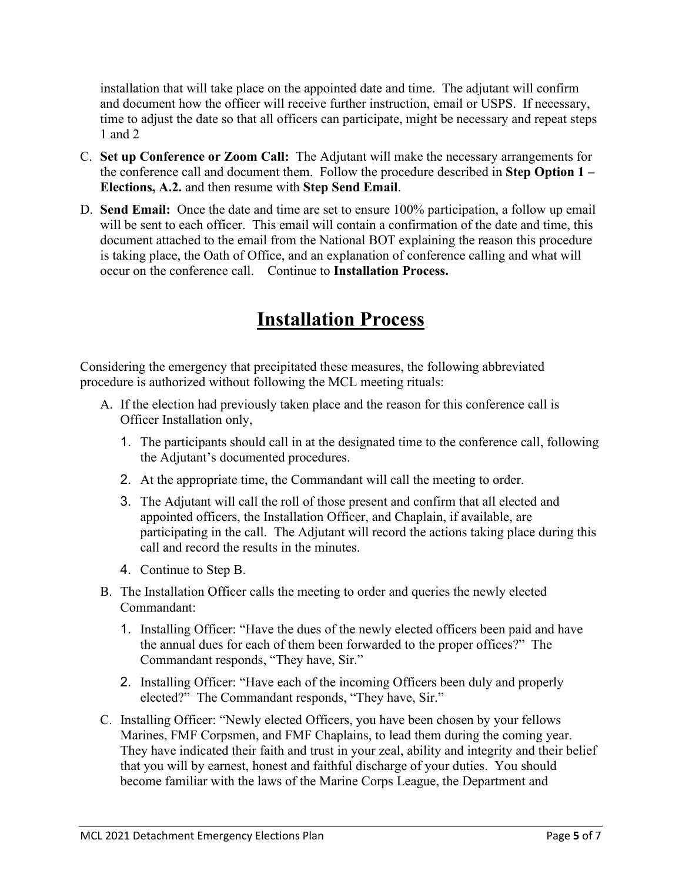installation that will take place on the appointed date and time. The adjutant will confirm and document how the officer will receive further instruction, email or USPS. If necessary, time to adjust the date so that all officers can participate, might be necessary and repeat steps 1 and 2

- C. **Set up Conference or Zoom Call:** The Adjutant will make the necessary arrangements for the conference call and document them. Follow the procedure described in **Step Option 1 – Elections, A.2.** and then resume with **Step Send Email**.
- D. **Send Email:** Once the date and time are set to ensure 100% participation, a follow up email will be sent to each officer. This email will contain a confirmation of the date and time, this document attached to the email from the National BOT explaining the reason this procedure is taking place, the Oath of Office, and an explanation of conference calling and what will occur on the conference call. Continue to **Installation Process.**

### **Installation Process**

Considering the emergency that precipitated these measures, the following abbreviated procedure is authorized without following the MCL meeting rituals:

- A. If the election had previously taken place and the reason for this conference call is Officer Installation only,
	- 1. The participants should call in at the designated time to the conference call, following the Adjutant's documented procedures.
	- 2. At the appropriate time, the Commandant will call the meeting to order.
	- 3. The Adjutant will call the roll of those present and confirm that all elected and appointed officers, the Installation Officer, and Chaplain, if available, are participating in the call. The Adjutant will record the actions taking place during this call and record the results in the minutes.
	- 4. Continue to Step B.
- B. The Installation Officer calls the meeting to order and queries the newly elected Commandant:
	- 1. Installing Officer: "Have the dues of the newly elected officers been paid and have the annual dues for each of them been forwarded to the proper offices?" The Commandant responds, "They have, Sir."
	- 2. Installing Officer: "Have each of the incoming Officers been duly and properly elected?" The Commandant responds, "They have, Sir."
- C. Installing Officer: "Newly elected Officers, you have been chosen by your fellows Marines, FMF Corpsmen, and FMF Chaplains, to lead them during the coming year. They have indicated their faith and trust in your zeal, ability and integrity and their belief that you will by earnest, honest and faithful discharge of your duties. You should become familiar with the laws of the Marine Corps League, the Department and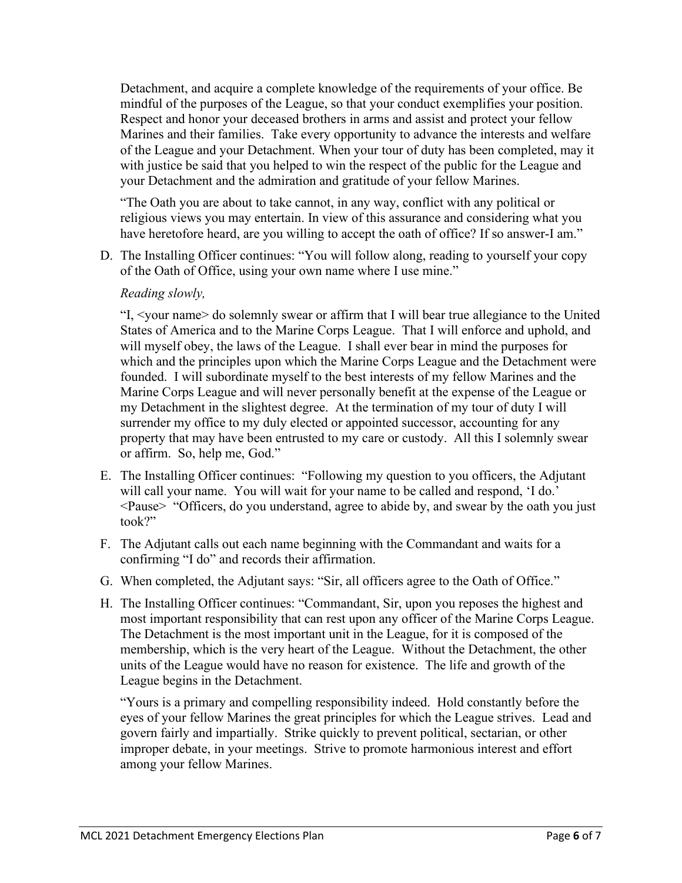Detachment, and acquire a complete knowledge of the requirements of your office. Be mindful of the purposes of the League, so that your conduct exemplifies your position. Respect and honor your deceased brothers in arms and assist and protect your fellow Marines and their families. Take every opportunity to advance the interests and welfare of the League and your Detachment. When your tour of duty has been completed, may it with justice be said that you helped to win the respect of the public for the League and your Detachment and the admiration and gratitude of your fellow Marines.

"The Oath you are about to take cannot, in any way, conflict with any political or religious views you may entertain. In view of this assurance and considering what you have heretofore heard, are you willing to accept the oath of office? If so answer-I am."

D. The Installing Officer continues: "You will follow along, reading to yourself your copy of the Oath of Office, using your own name where I use mine."

#### *Reading slowly,*

"I, <your name> do solemnly swear or affirm that I will bear true allegiance to the United States of America and to the Marine Corps League. That I will enforce and uphold, and will myself obey, the laws of the League. I shall ever bear in mind the purposes for which and the principles upon which the Marine Corps League and the Detachment were founded. I will subordinate myself to the best interests of my fellow Marines and the Marine Corps League and will never personally benefit at the expense of the League or my Detachment in the slightest degree. At the termination of my tour of duty I will surrender my office to my duly elected or appointed successor, accounting for any property that may have been entrusted to my care or custody. All this I solemnly swear or affirm. So, help me, God."

- E. The Installing Officer continues: "Following my question to you officers, the Adjutant will call your name. You will wait for your name to be called and respond, 'I do.' <Pause> "Officers, do you understand, agree to abide by, and swear by the oath you just took?"
- F. The Adjutant calls out each name beginning with the Commandant and waits for a confirming "I do" and records their affirmation.
- G. When completed, the Adjutant says: "Sir, all officers agree to the Oath of Office."
- H. The Installing Officer continues: "Commandant, Sir, upon you reposes the highest and most important responsibility that can rest upon any officer of the Marine Corps League. The Detachment is the most important unit in the League, for it is composed of the membership, which is the very heart of the League. Without the Detachment, the other units of the League would have no reason for existence. The life and growth of the League begins in the Detachment.

"Yours is a primary and compelling responsibility indeed. Hold constantly before the eyes of your fellow Marines the great principles for which the League strives. Lead and govern fairly and impartially. Strike quickly to prevent political, sectarian, or other improper debate, in your meetings. Strive to promote harmonious interest and effort among your fellow Marines.